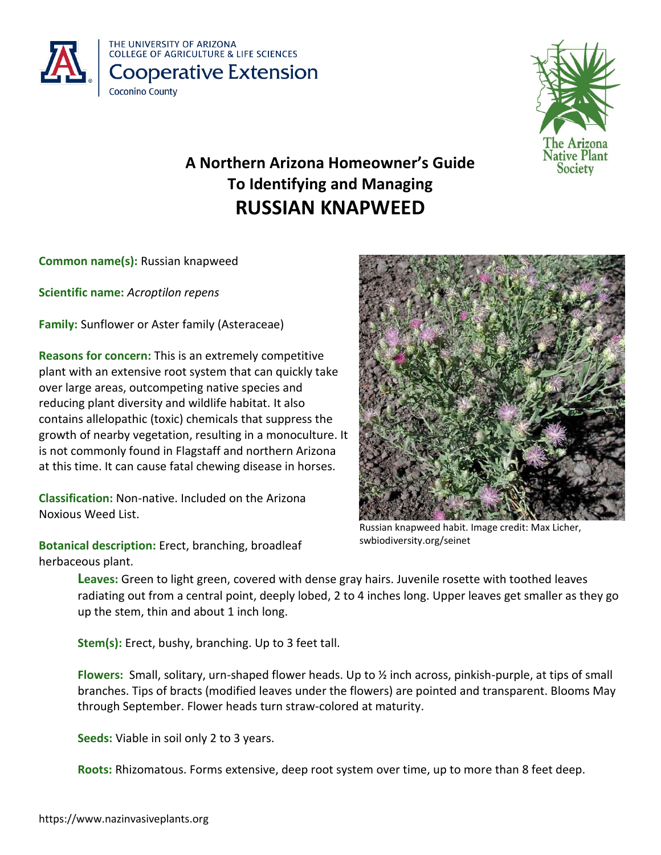



# **A Northern Arizona Homeowner's Guide To Identifying and Managing RUSSIAN KNAPWEED**

**Common name(s):** Russian knapweed

**Scientific name:** *Acroptilon repens*

**Family:** Sunflower or Aster family (Asteraceae)

**Reasons for concern:** This is an extremely competitive plant with an extensive root system that can quickly take over large areas, outcompeting native species and reducing plant diversity and wildlife habitat. It also contains allelopathic (toxic) chemicals that suppress the growth of nearby vegetation, resulting in a monoculture. It is not commonly found in Flagstaff and northern Arizona at this time. It can cause fatal chewing disease in horses.

**Classification:** Non-native. Included on the Arizona Noxious Weed List.

**Botanical description:** Erect, branching, broadleaf herbaceous plant.



Russian knapweed habit. Image credit: Max Licher, swbiodiversity.org/seinet

**Leaves:** Green to light green, covered with dense gray hairs. Juvenile rosette with toothed leaves radiating out from a central point, deeply lobed, 2 to 4 inches long. Upper leaves get smaller as they go up the stem, thin and about 1 inch long.

**Stem(s):** Erect, bushy, branching. Up to 3 feet tall.

**Flowers:** Small, solitary, urn-shaped flower heads. Up to ½ inch across, pinkish-purple, at tips of small branches. Tips of bracts (modified leaves under the flowers) are pointed and transparent. Blooms May through September. Flower heads turn straw-colored at maturity.

**Seeds:** Viable in soil only 2 to 3 years.

**Roots:** Rhizomatous. Forms extensive, deep root system over time, up to more than 8 feet deep.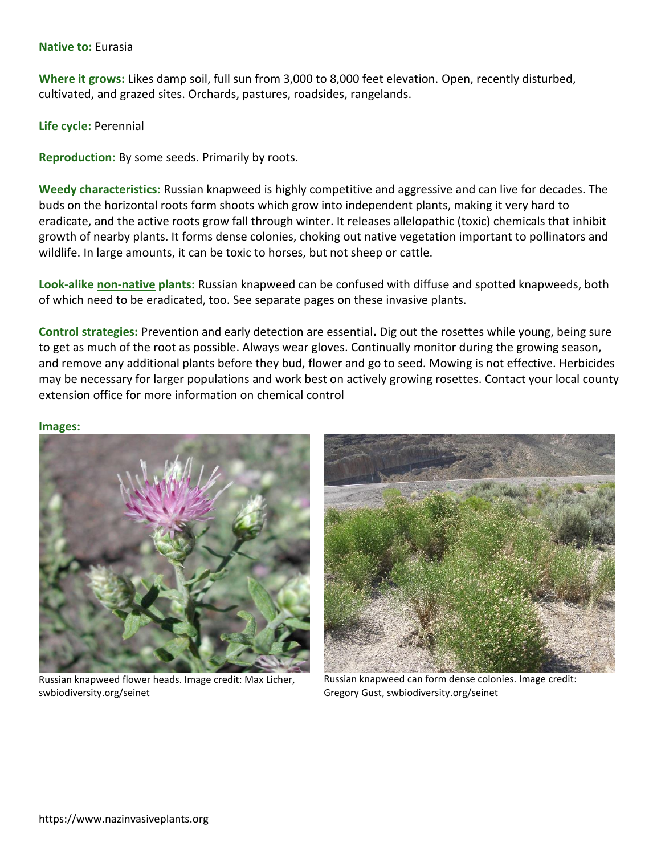## **Native to:** Eurasia

**Where it grows:** Likes damp soil, full sun from 3,000 to 8,000 feet elevation. Open, recently disturbed, cultivated, and grazed sites. Orchards, pastures, roadsides, rangelands.

**Life cycle:** Perennial

**Reproduction:** By some seeds. Primarily by roots.

**Weedy characteristics:** Russian knapweed is highly competitive and aggressive and can live for decades. The buds on the horizontal roots form shoots which grow into independent plants, making it very hard to eradicate, and the active roots grow fall through winter. It releases allelopathic (toxic) chemicals that inhibit growth of nearby plants. It forms dense colonies, choking out native vegetation important to pollinators and wildlife. In large amounts, it can be toxic to horses, but not sheep or cattle.

**Look-alike non-native plants:** Russian knapweed can be confused with diffuse and spotted knapweeds, both of which need to be eradicated, too. See separate pages on these invasive plants.

**Control strategies:** Prevention and early detection are essential**.** Dig out the rosettes while young, being sure to get as much of the root as possible. Always wear gloves. Continually monitor during the growing season, and remove any additional plants before they bud, flower and go to seed. Mowing is not effective. Herbicides may be necessary for larger populations and work best on actively growing rosettes. Contact your local county extension office for more information on chemical control

#### **Images:**



Russian knapweed flower heads. Image credit: Max Licher, swbiodiversity.org/seinet



Russian knapweed can form dense colonies. Image credit: Gregory Gust, swbiodiversity.org/seinet